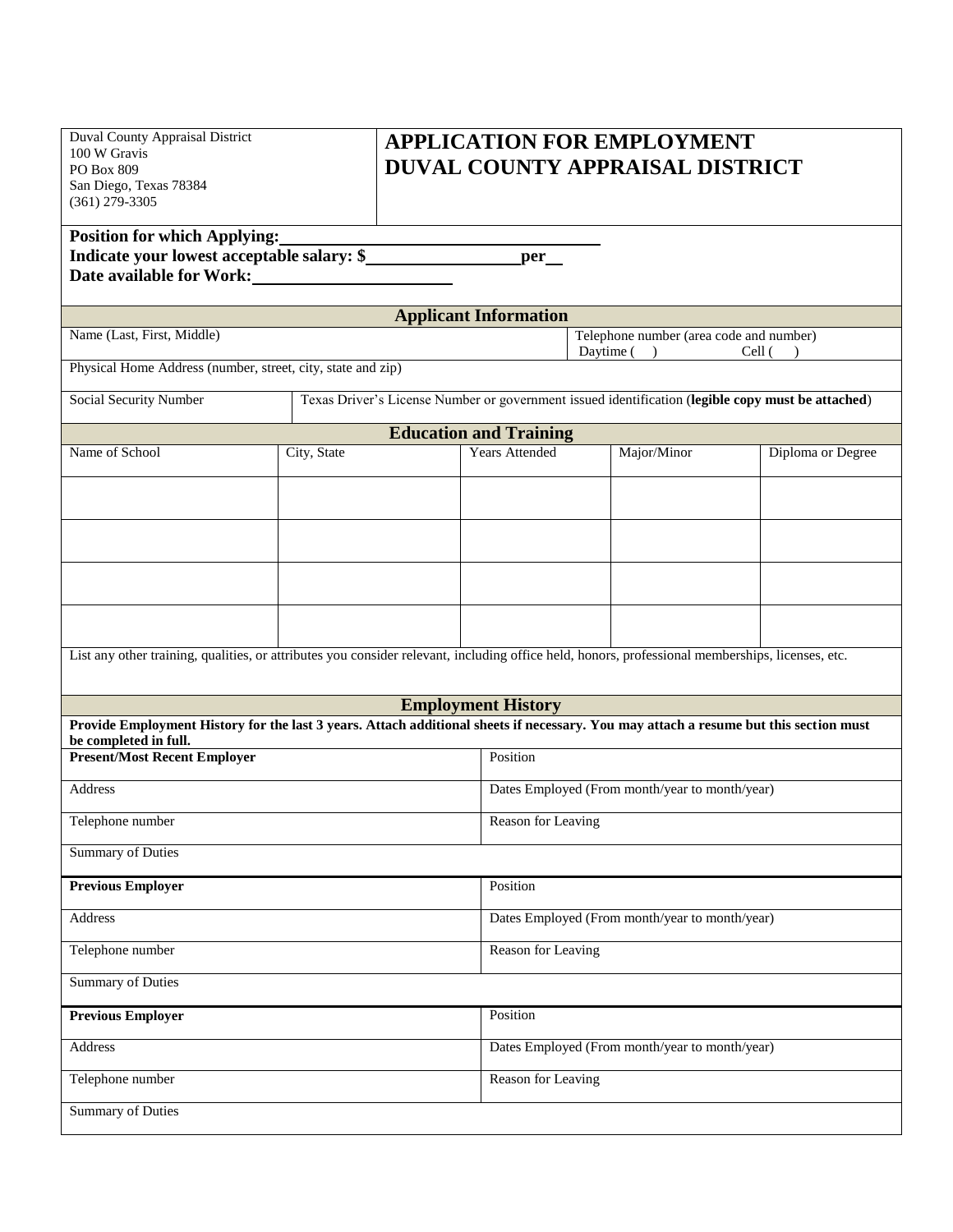| Duval County Appraisal District |
|---------------------------------|
| 100 W Gravis                    |
| <b>PO Box 809</b>               |
| San Diego, Texas 78384          |
| $(361)$ 279-3305                |
|                                 |

## **APPLICATION FOR EMPLOYMENT DUVAL COUNTY APPRAISAL DISTRICT**

| <b>Position for which Applying:</b>        |     |
|--------------------------------------------|-----|
| Indicate your lowest acceptable salary: \$ | per |
| Date available for Work:                   |     |

Physical Home Address (number, street, city, state and zip)

| <b>Applicant Information</b> |                                         |  |
|------------------------------|-----------------------------------------|--|
| Name (Last, First, Middle)   | Telephone number (area code and number) |  |
|                              | $C_{\alpha}$ ll (<br>$\Gamma$           |  |

Daytime ( ) Cell ( )

| Social Security Number        | Texas Driver's License Number or government issued identification (legible copy must be attached) |                       |             |                   |  |  |
|-------------------------------|---------------------------------------------------------------------------------------------------|-----------------------|-------------|-------------------|--|--|
| <b>Education and Training</b> |                                                                                                   |                       |             |                   |  |  |
| Name of School                | City, State                                                                                       | <b>Years Attended</b> | Major/Minor | Diploma or Degree |  |  |
|                               |                                                                                                   |                       |             |                   |  |  |

List any other training, qualities, or attributes you consider relevant, including office held, honors, professional memberships, licenses, etc.

| <b>Employment History</b>                                                                                                                                      |                                                |  |  |
|----------------------------------------------------------------------------------------------------------------------------------------------------------------|------------------------------------------------|--|--|
| Provide Employment History for the last 3 years. Attach additional sheets if necessary. You may attach a resume but this section must<br>be completed in full. |                                                |  |  |
| <b>Present/Most Recent Employer</b>                                                                                                                            | Position                                       |  |  |
|                                                                                                                                                                |                                                |  |  |
| Address                                                                                                                                                        | Dates Employed (From month/year to month/year) |  |  |
| Telephone number                                                                                                                                               | Reason for Leaving                             |  |  |
|                                                                                                                                                                |                                                |  |  |
| <b>Summary of Duties</b>                                                                                                                                       |                                                |  |  |
|                                                                                                                                                                |                                                |  |  |
| <b>Previous Employer</b>                                                                                                                                       | Position                                       |  |  |
| Address                                                                                                                                                        | Dates Employed (From month/year to month/year) |  |  |
|                                                                                                                                                                |                                                |  |  |
| Telephone number                                                                                                                                               | Reason for Leaving                             |  |  |
| <b>Summary of Duties</b>                                                                                                                                       |                                                |  |  |
|                                                                                                                                                                |                                                |  |  |
| <b>Previous Employer</b>                                                                                                                                       | Position                                       |  |  |
|                                                                                                                                                                |                                                |  |  |
| Address                                                                                                                                                        | Dates Employed (From month/year to month/year) |  |  |
| Telephone number                                                                                                                                               | Reason for Leaving                             |  |  |
|                                                                                                                                                                |                                                |  |  |
| <b>Summary of Duties</b>                                                                                                                                       |                                                |  |  |
|                                                                                                                                                                |                                                |  |  |